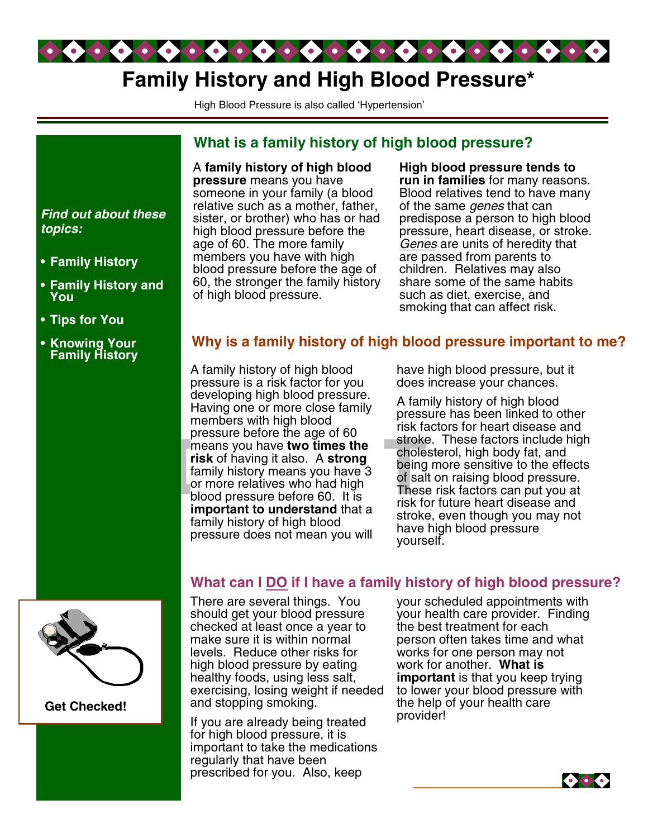

# **Family History and High Blood Pressure\***

High Blood Pressure is also called 'Hypertension'

#### A **family history of high blood pressure** means you have someone in your family (a blood relative such as a mother, father, sister, or brother) who has or had high blood pressure before the age of 60. The more family members you have with high blood pressure before the age of 60, the stronger the family history of high blood pressure. **What is a family history of high blood pressure? High blood pressure tends to run in families** for many reasons. Blood relatives tend to have many of the same *genes* that can predispose a person to high blood pressure, heart disease, or stroke. *Genes* are units of heredity that are passed from parents to children. Relatives may also share some of the same habits such as diet, exercise, and smoking that can affect risk.

## **Why is a family history of high blood pressure important to me?**

**Example Solve the age of 30**<br> **Example Solve two times the choice**<br> **risk** of having it also. A **strong**<br>
family history means you have 3 being<br>
or more relatives who had high<br>
blood pressure before 60. It is<br> **Example th** A family history of high blood pressure is a risk factor for you developing high blood pressure. Having one or more close family members with high blood pressure before the age of 60 **risk** of having it also. A **strong** family history means you have 3 or more relatives who had high blood pressure before 60. It is **important to understand** that a family history of high blood pressure does not mean you will

have high blood pressure, but it does increase your chances.

A family history of high blood pressure has been linked to other risk factors for heart disease and stroke. These factors include high cholesterol, high body fat, and being more sensitive to the effects of salt on raising blood pressure. These risk factors can put you at risk for future heart disease and stroke, even though you may not have high blood pressure yourself.

# There are several things. You **What can I DO if I have a family history of high blood pressure?**

should get your blood pressure checked at least once a year to make sure it is within normal levels. Reduce other risks for high blood pressure by eating healthy foods, using less salt, exercising, losing weight if needed and stopping smoking.

If you are already being treated for high blood pressure, it is important to take the medications regularly that have been prescribed for you. Also, keep

your scheduled appointments with your health care provider. Finding the best treatment for each person often takes time and what works for one person may not work for another. **What is important** is that you keep trying to lower your blood pressure with the help of your health care provider!



*Find out about these topics:*

- **• Family History**
- **• Family History and You**
- **• Tips for You**
- **• Knowing Your Family History**



**Get Checked!**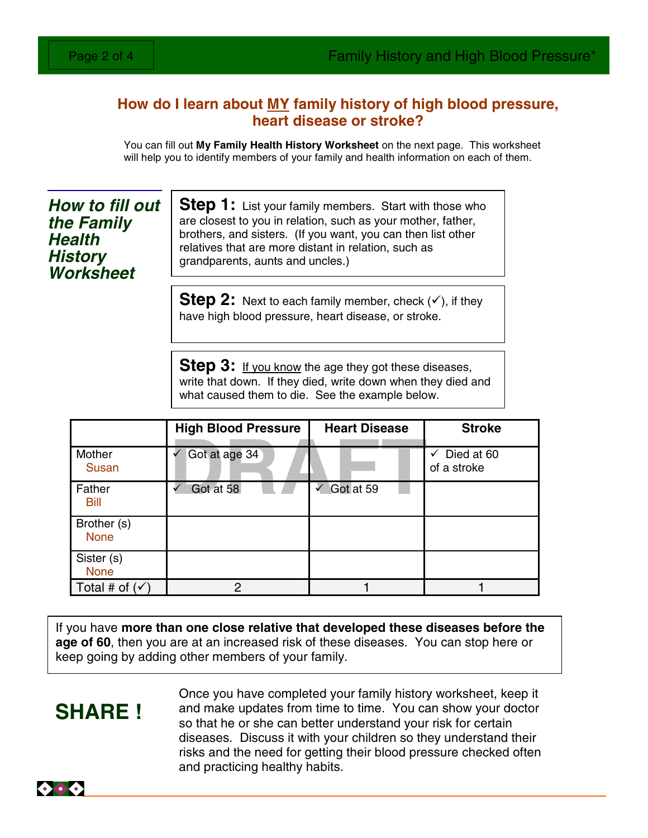# **How do I learn about MY family history of high blood pressure, heart disease or stroke?**

You can fill out **My Family Health History Worksheet** on the next page. This worksheet will help you to identify members of your family and health information on each of them.

*How to fill out the Family Health History Worksheet*

**Step 1:** List your family members. Start with those who are closest to you in relation, such as your mother, father, brothers, and sisters. (If you want, you can then list other relatives that are more distant in relation, such as grandparents, aunts and uncles.)

**Step 2:** Next to each family member, check  $(v)$ , if they have high blood pressure, heart disease, or stroke.

**Step 3:** If you know the age they got these diseases, write that down. If they died, write down when they died and what caused them to die. See the example below.

|                            | <b>High Blood Pressure</b> | <b>Heart Disease</b>   | <b>Stroke</b>                          |
|----------------------------|----------------------------|------------------------|----------------------------------------|
| Mother<br><b>Susan</b>     | Got at age 34              |                        | $\checkmark$ Died at 60<br>of a stroke |
| Father<br>Bill             | Got at 58                  | $\checkmark$ Got at 59 |                                        |
| Brother (s)<br><b>None</b> |                            |                        |                                        |
| Sister (s)<br><b>None</b>  |                            |                        |                                        |
| Total # of $(\checkmark)$  | 0                          |                        |                                        |

If you have **more than one close relative that developed these diseases before the age of 60**, then you are at an increased risk of these diseases. You can stop here or keep going by adding other members of your family.

# **SHARE !**

Once you have completed your family history worksheet, keep it and make updates from time to time. You can show your doctor so that he or she can better understand your risk for certain diseases. Discuss it with your children so they understand their risks and the need for getting their blood pressure checked often and practicing healthy habits.

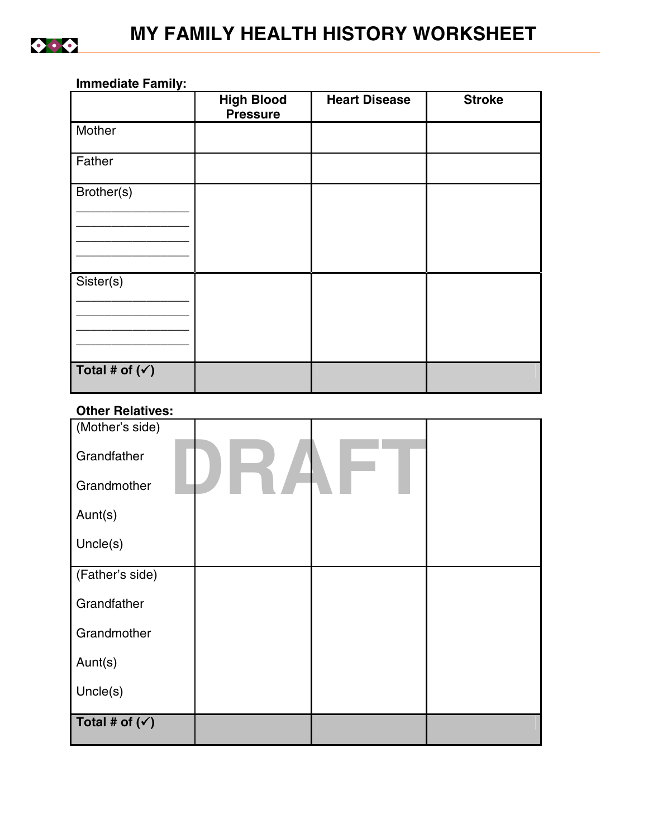

### **Immediate Family:**

|                           | <b>High Blood</b><br><b>Pressure</b> | <b>Heart Disease</b> | <b>Stroke</b> |
|---------------------------|--------------------------------------|----------------------|---------------|
| Mother                    |                                      |                      |               |
| Father                    |                                      |                      |               |
| Brother(s)                |                                      |                      |               |
|                           |                                      |                      |               |
|                           |                                      |                      |               |
| Sister(s)                 |                                      |                      |               |
|                           |                                      |                      |               |
|                           |                                      |                      |               |
| Total # of $(\checkmark)$ |                                      |                      |               |

### **Other Relatives:**

| (Mother's side)           |  |  |
|---------------------------|--|--|
| Grandfather               |  |  |
| Grandmother               |  |  |
| Aunt(s)                   |  |  |
| Uncle(s)                  |  |  |
| (Father's side)           |  |  |
| Grandfather               |  |  |
| Grandmother               |  |  |
| Aunt(s)                   |  |  |
| Uncle(s)                  |  |  |
| Total # of $(\checkmark)$ |  |  |